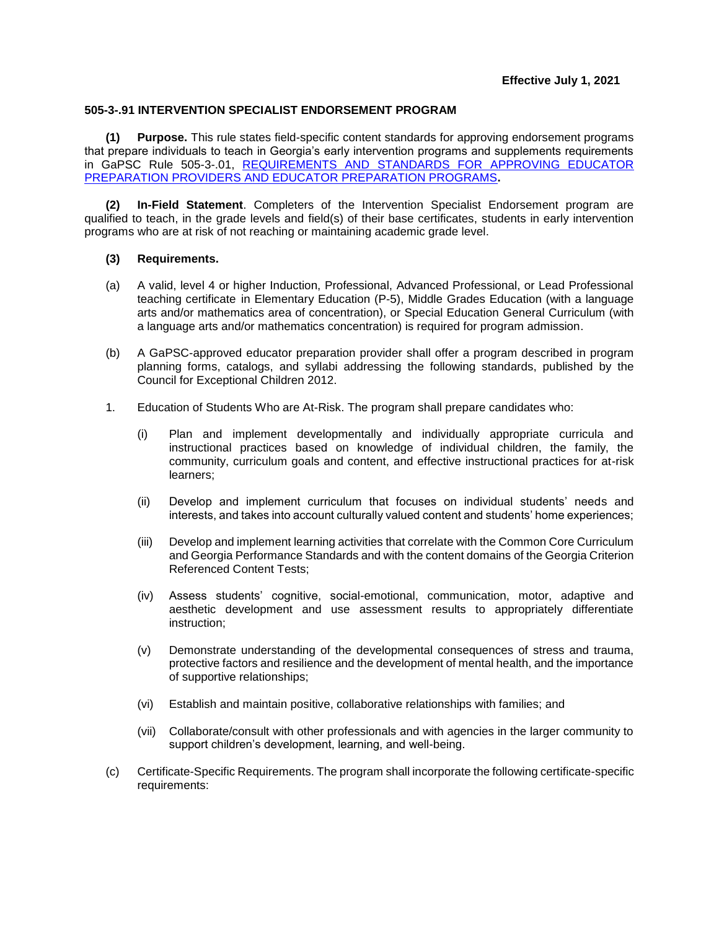## **505-3-.91 INTERVENTION SPECIALIST ENDORSEMENT PROGRAM**

**(1) Purpose.** This rule states field-specific content standards for approving endorsement programs that prepare individuals to teach in Georgia's early intervention programs and supplements requirements in GaPSC Rule 505-3-.01, [REQUIREMENTS AND STANDARDS FOR APPROVING EDUCATOR](https://www.gapsc.com/Rules/Current/EducatorPreparation/505-3-.01.pdf?dt=%3C%25#Eval()  [PREPARATION PROVIDERS AND EDUCATOR PREPARATION PROGRAMS](https://www.gapsc.com/Rules/Current/EducatorPreparation/505-3-.01.pdf?dt=%3C%25#Eval()**.**

**(2) In-Field Statement**. Completers of the Intervention Specialist Endorsement program are qualified to teach, in the grade levels and field(s) of their base certificates, students in early intervention programs who are at risk of not reaching or maintaining academic grade level.

## **(3) Requirements.**

- (a) A valid, level 4 or higher Induction, Professional, Advanced Professional, or Lead Professional teaching certificate in Elementary Education (P-5), Middle Grades Education (with a language arts and/or mathematics area of concentration), or Special Education General Curriculum (with a language arts and/or mathematics concentration) is required for program admission.
- (b) A GaPSC-approved educator preparation provider shall offer a program described in program planning forms, catalogs, and syllabi addressing the following standards, published by the Council for Exceptional Children 2012.
- 1. Education of Students Who are At-Risk. The program shall prepare candidates who:
	- (i) Plan and implement developmentally and individually appropriate curricula and instructional practices based on knowledge of individual children, the family, the community, curriculum goals and content, and effective instructional practices for at-risk learners;
	- (ii) Develop and implement curriculum that focuses on individual students' needs and interests, and takes into account culturally valued content and students' home experiences;
	- (iii) Develop and implement learning activities that correlate with the Common Core Curriculum and Georgia Performance Standards and with the content domains of the Georgia Criterion Referenced Content Tests;
	- (iv) Assess students' cognitive, social-emotional, communication, motor, adaptive and aesthetic development and use assessment results to appropriately differentiate instruction;
	- (v) Demonstrate understanding of the developmental consequences of stress and trauma, protective factors and resilience and the development of mental health, and the importance of supportive relationships;
	- (vi) Establish and maintain positive, collaborative relationships with families; and
	- (vii) Collaborate/consult with other professionals and with agencies in the larger community to support children's development, learning, and well-being.
- (c) Certificate-Specific Requirements. The program shall incorporate the following certificate-specific requirements: